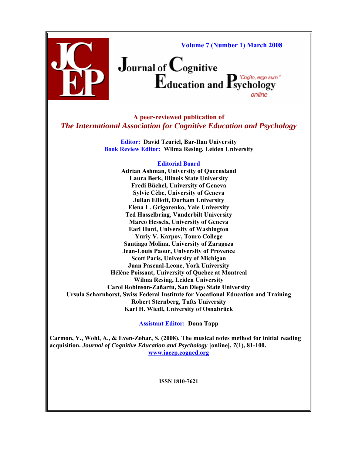

**Volume 7 (Number 1) March 2008** 

 $J_{\text{ournal of}} C_{\text{ognitive}}$ Education and Psychology online

**A peer-reviewed publication of**  *The International Association for Cognitive Education and Psychology* 

> **Editor: David Tzuriel, Bar-Ilan University Book Review Editor: Wilma Resing, Leiden University**

#### **Editorial Board**

**Adrian Ashman, University of Queensland Laura Berk, Illinois State University Fredi Büchel, University of Geneva Sylvie Cèbe, University of Geneva Julian Elliott, Durham University Elena L. Grigorenko, Yale University Ted Hasselbring, Vanderbilt University Marco Hessels, University of Geneva Earl Hunt, University of Washington Yuriy V. Karpov, Touro College Santiago Molina, University of Zaragoza Jean-Louis Paour, University of Provence Scott Paris, University of Michigan Juan Pascual-Leone, York University Hélène Poissant, University of Quebec at Montreal Wilma Resing, Leiden University Carol Robinson-Zañartu, San Diego State University Ursula Scharnhorst, Swiss Federal Institute for Vocational Education and Training Robert Sternberg, Tufts University Karl H. Wiedl, University of Osnabrück** 

**Assistant Editor: Dona Tapp** 

**Carmon, Y., Wohl, A., & Even-Zohar, S. (2008). The musical notes method for initial reading acquisition.** *Journal of Cognitive Education and Psychology* **[online],** *7***(1), 81-100. [www.iacep.cogned.org](http://www.iacep.cogned.org/)**

**ISSN 1810-7621**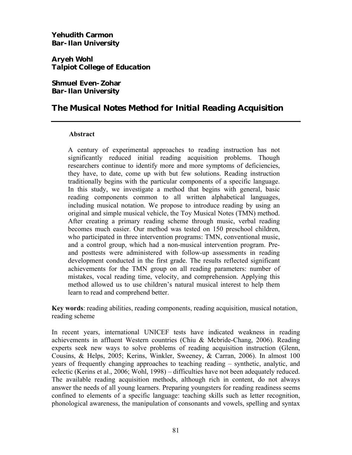**Yehudith Carmon**  *Bar-Ilan University* 

**Aryeh Wohl**  *Talpiot College of Education* 

**Shmuel Even-Zohar**  *Bar-Ilan University* 

# *The Musical Notes Method for Initial Reading Acquisition*

### **Abstract**

A century of experimental approaches to reading instruction has not significantly reduced initial reading acquisition problems. Though researchers continue to identify more and more symptoms of deficiencies, they have, to date, come up with but few solutions. Reading instruction traditionally begins with the particular components of a specific language. In this study, we investigate a method that begins with general, basic reading components common to all written alphabetical languages, including musical notation. We propose to introduce reading by using an original and simple musical vehicle, the Toy Musical Notes (TMN) method. After creating a primary reading scheme through music, verbal reading becomes much easier. Our method was tested on 150 preschool children, who participated in three intervention programs: TMN, conventional music, and a control group, which had a non-musical intervention program. Preand posttests were administered with follow-up assessments in reading development conducted in the first grade. The results reflected significant achievements for the TMN group on all reading parameters: number of mistakes, vocal reading time, velocity, and comprehension. Applying this method allowed us to use children's natural musical interest to help them learn to read and comprehend better.

**Key words**: reading abilities, reading components, reading acquisition, musical notation, reading scheme

In recent years, international UNICEF tests have indicated weakness in reading achievements in affluent Western countries (Chiu & Mcbride-Chang, 2006). Reading experts seek new ways to solve problems of reading acquisition instruction (Glenn, Cousins, & Helps, 2005; Kerins, Winkler, Sweeney, & Carran, 2006). In almost 100 years of frequently changing approaches to teaching reading – synthetic, analytic, and eclectic (Kerins et al., 2006; Wohl, 1998) – difficulties have not been adequately reduced. The available reading acquisition methods, although rich in content, do not always answer the needs of all young learners. Preparing youngsters for reading readiness seems confined to elements of a specific language: teaching skills such as letter recognition, phonological awareness, the manipulation of consonants and vowels, spelling and syntax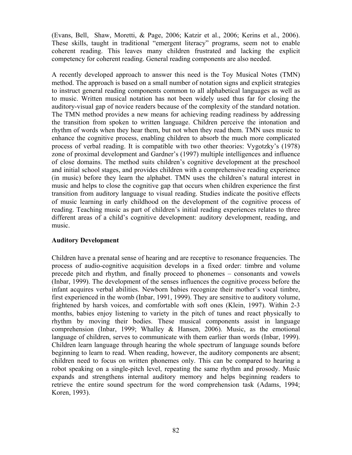(Evans, Bell, Shaw, Moretti, & Page, 2006; Katzir et al., 2006; Kerins et al., 2006). These skills, taught in traditional "emergent literacy" programs, seem not to enable coherent reading. This leaves many children frustrated and lacking the explicit competency for coherent reading. General reading components are also needed.

A recently developed approach to answer this need is the Toy Musical Notes (TMN) method. The approach is based on a small number of notation signs and explicit strategies to instruct general reading components common to all alphabetical languages as well as to music. Written musical notation has not been widely used thus far for closing the auditory-visual gap of novice readers because of the complexity of the standard notation. The TMN method provides a new means for achieving reading readiness by addressing the transition from spoken to written language. Children perceive the intonation and rhythm of words when they hear them, but not when they read them. TMN uses music to enhance the cognitive process, enabling children to absorb the much more complicated process of verbal reading. It is compatible with two other theories: Vygotzky's (1978) zone of proximal development and Gardner's (1997) multiple intelligences and influence of close domains. The method suits children's cognitive development at the preschool and initial school stages, and provides children with a comprehensive reading experience (in music) before they learn the alphabet. TMN uses the children's natural interest in music and helps to close the cognitive gap that occurs when children experience the first transition from auditory language to visual reading. Studies indicate the positive effects of music learning in early childhood on the development of the cognitive process of reading. Teaching music as part of children's initial reading experiences relates to three different areas of a child's cognitive development: auditory development, reading, and music.

# **Auditory Development**

Children have a prenatal sense of hearing and are receptive to resonance frequencies. The process of audio-cognitive acquisition develops in a fixed order: timbre and volume precede pitch and rhythm, and finally proceed to phonemes – consonants and vowels (Inbar, 1999). The development of the senses influences the cognitive process before the infant acquires verbal abilities. Newborn babies recognize their mother's vocal timbre, first experienced in the womb (Inbar, 1991, 1999). They are sensitive to auditory volume, frightened by harsh voices, and comfortable with soft ones (Klein, 1997). Within 2-3 months, babies enjoy listening to variety in the pitch of tunes and react physically to rhythm by moving their bodies. These musical components assist in language comprehension (Inbar, 1999; Whalley & Hansen, 2006). Music, as the emotional language of children, serves to communicate with them earlier than words (Inbar, 1999). Children learn language through hearing the whole spectrum of language sounds before beginning to learn to read. When reading, however, the auditory components are absent; children need to focus on written phonemes only. This can be compared to hearing a robot speaking on a single-pitch level, repeating the same rhythm and prosody. Music expands and strengthens internal auditory memory and helps beginning readers to retrieve the entire sound spectrum for the word comprehension task (Adams, 1994; Koren, 1993).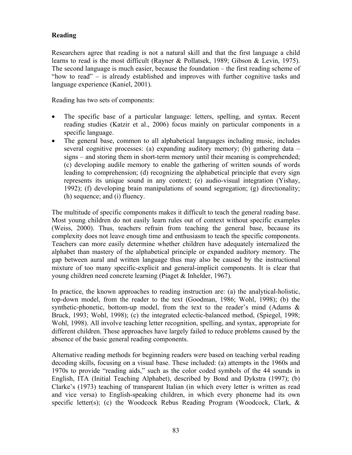# **Reading**

Researchers agree that reading is not a natural skill and that the first language a child learns to read is the most difficult (Rayner & Pollatsek, 1989; Gibson & Levin, 1975). The second language is much easier, because the foundation – the first reading scheme of "how to read" – is already established and improves with further cognitive tasks and language experience (Kaniel, 2001).

Reading has two sets of components:

- The specific base of a particular language: letters, spelling, and syntax. Recent reading studies (Katzir et al., 2006) focus mainly on particular components in a specific language.
- The general base, common to all alphabetical languages including music, includes several cognitive processes: (a) expanding auditory memory; (b) gathering data – signs – and storing them in short-term memory until their meaning is comprehended; (c) developing audile memory to enable the gathering of written sounds of words leading to comprehension; (d) recognizing the alphabetical principle that every sign represents its unique sound in any context; (e) audio-visual integration (Yishay, 1992); (f) developing brain manipulations of sound segregation; (g) directionality; (h) sequence; and (i) fluency.

The multitude of specific components makes it difficult to teach the general reading base. Most young children do not easily learn rules out of context without specific examples (Weiss, 2000). Thus, teachers refrain from teaching the general base, because its complexity does not leave enough time and enthusiasm to teach the specific components. Teachers can more easily determine whether children have adequately internalized the alphabet than mastery of the alphabetical principle or expanded auditory memory. The gap between aural and written language thus may also be caused by the instructional mixture of too many specific-explicit and general-implicit components. It is clear that young children need concrete learning (Piaget & Inhelder, 1967).

In practice, the known approaches to reading instruction are: (a) the analytical-holistic, top-down model, from the reader to the text (Goodman, 1986; Wohl, 1998); (b) the synthetic-phonetic, bottom-up model, from the text to the reader's mind (Adams  $\&$ Bruck, 1993; Wohl, 1998); (c) the integrated eclectic-balanced method, (Spiegel, 1998; Wohl, 1998). All involve teaching letter recognition, spelling, and syntax, appropriate for different children. These approaches have largely failed to reduce problems caused by the absence of the basic general reading components.

Alternative reading methods for beginning readers were based on teaching verbal reading decoding skills, focusing on a visual base. These included: (a) attempts in the 1960s and 1970s to provide "reading aids," such as the color coded symbols of the 44 sounds in English, ITA (Initial Teaching Alphabet), described by Bond and Dykstra (1997); (b) Clarke's (1973) teaching of transparent Italian (in which every letter is written as read and vice versa) to English-speaking children, in which every phoneme had its own specific letter(s); (c) the Woodcock Rebus Reading Program (Woodcock, Clark, &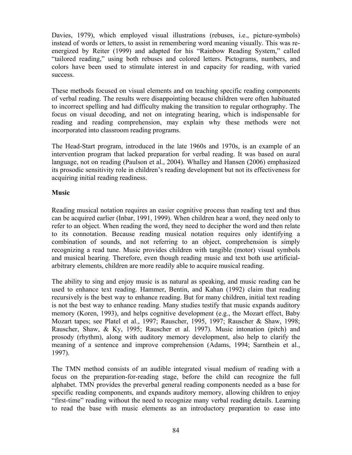Davies, 1979), which employed visual illustrations (rebuses, i.e., picture-symbols) instead of words or letters, to assist in remembering word meaning visually. This was reenergized by Reiter (1999) and adapted for his "Rainbow Reading System," called "tailored reading," using both rebuses and colored letters. Pictograms, numbers, and colors have been used to stimulate interest in and capacity for reading, with varied success.

These methods focused on visual elements and on teaching specific reading components of verbal reading. The results were disappointing because children were often habituated to incorrect spelling and had difficulty making the transition to regular orthography. The focus on visual decoding, and not on integrating hearing, which is indispensable for reading and reading comprehension, may explain why these methods were not incorporated into classroom reading programs.

The Head-Start program, introduced in the late 1960s and 1970s, is an example of an intervention program that lacked preparation for verbal reading. It was based on aural language, not on reading (Paulson et al., 2004). Whalley and Hansen (2006) emphasized its prosodic sensitivity role in children's reading development but not its effectiveness for acquiring initial reading readiness.

# **Music**

Reading musical notation requires an easier cognitive process than reading text and thus can be acquired earlier (Inbar, 1991, 1999). When children hear a word, they need only to refer to an object. When reading the word, they need to decipher the word and then relate to its connotation. Because reading musical notation requires only identifying a combination of sounds, and not referring to an object, comprehension is simply recognizing a read tune. Music provides children with tangible (motor) visual symbols and musical hearing. Therefore, even though reading music and text both use artificialarbitrary elements, children are more readily able to acquire musical reading.

The ability to sing and enjoy music is as natural as speaking, and music reading can be used to enhance text reading. Hammer, Bentin, and Kahan (1992) claim that reading recursively is the best way to enhance reading. But for many children, initial text reading is not the best way to enhance reading. Many studies testify that music expands auditory memory (Koren, 1993), and helps cognitive development (e.g., the Mozart effect, Baby Mozart tapes; see Platel et al., 1997; Rauscher, 1995, 1997; Rauscher & Shaw, 1998; Rauscher, Shaw, & Ky, 1995; Rauscher et al. 1997). Music intonation (pitch) and prosody (rhythm), along with auditory memory development, also help to clarify the meaning of a sentence and improve comprehension (Adams, 1994; Sarnthein et al., 1997).

The TMN method consists of an audible integrated visual medium of reading with a focus on the preparation-for-reading stage, before the child can recognize the full alphabet. TMN provides the preverbal general reading components needed as a base for specific reading components, and expands auditory memory, allowing children to enjoy "first-time" reading without the need to recognize many verbal reading details. Learning to read the base with music elements as an introductory preparation to ease into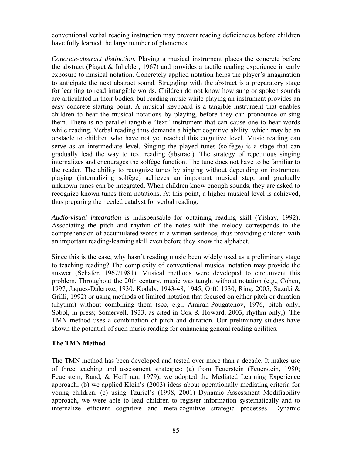conventional verbal reading instruction may prevent reading deficiencies before children have fully learned the large number of phonemes.

*Concrete-abstract distinction*. Playing a musical instrument places the concrete before the abstract (Piaget & Inhelder, 1967) and provides a tactile reading experience in early exposure to musical notation. Concretely applied notation helps the player's imagination to anticipate the next abstract sound. Struggling with the abstract is a preparatory stage for learning to read intangible words. Children do not know how sung or spoken sounds are articulated in their bodies, but reading music while playing an instrument provides an easy concrete starting point. A musical keyboard is a tangible instrument that enables children to hear the musical notations by playing, before they can pronounce or sing them. There is no parallel tangible "text" instrument that can cause one to hear words while reading. Verbal reading thus demands a higher cognitive ability, which may be an obstacle to children who have not yet reached this cognitive level. Music reading can serve as an intermediate level. Singing the played tunes (solfège) is a stage that can gradually lead the way to text reading (abstract). The strategy of repetitious singing internalizes and encourages the solfège function. The tune does not have to be familiar to the reader. The ability to recognize tunes by singing without depending on instrument playing (internalizing solfège) achieves an important musical step, and gradually unknown tunes can be integrated. When children know enough sounds, they are asked to recognize known tunes from notations. At this point, a higher musical level is achieved, thus preparing the needed catalyst for verbal reading.

*Audio-visual integration* is indispensable for obtaining reading skill (Yishay, 1992). Associating the pitch and rhythm of the notes with the melody corresponds to the comprehension of accumulated words in a written sentence, thus providing children with an important reading-learning skill even before they know the alphabet.

Since this is the case, why hasn't reading music been widely used as a preliminary stage to teaching reading? The complexity of conventional musical notation may provide the answer (Schafer, 1967/1981). Musical methods were developed to circumvent this problem. Throughout the 20th century, music was taught without notation (e.g., Cohen, 1997; Jaques-Dalcroze, 1930; Kodaly, 1943-48, 1945; Orff, 1930; Ring, 2005; Suzuki & Grilli, 1992) or using methods of limited notation that focused on either pitch or duration (rhythm) without combining them (see, e.g., Amiran-Pougatchov, 1976, pitch only; Sobol, in press; Somervell, 1933, as cited in Cox & Howard, 2003, rhythm only;). The TMN method uses a combination of pitch and duration. Our preliminary studies have shown the potential of such music reading for enhancing general reading abilities.

# **The TMN Method**

The TMN method has been developed and tested over more than a decade. It makes use of three teaching and assessment strategies: (a) from Feuerstein (Feuerstein, 1980; Feuerstein, Rand, & Hoffman, 1979), we adopted the Mediated Learning Experience approach; (b) we applied Klein's (2003) ideas about operationally mediating criteria for young children; (c) using Tzuriel's (1998, 2001) Dynamic Assessment Modifiability approach, we were able to lead children to register information systematically and to internalize efficient cognitive and meta-cognitive strategic processes. Dynamic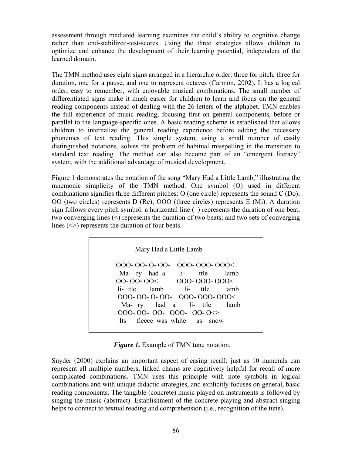assessment through mediated learning examines the child's ability to cognitive change rather than end-stabilized-test-scores. Using the three strategies allows children to optimize and enhance the development of their learning potential, independent of the learned domain.

The TMN method uses eight signs arranged in a hierarchic order: three for pitch, three for duration, one for a pause, and one to represent octaves (Carmon, 2002). It has a logical order, easy to remember, with enjoyable musical combinations. The small number of differentiated signs make it much easier for children to learn and focus on the general reading components instead of dealing with the 26 letters of the alphabet. TMN enables the full experience of music reading, focusing first on general components, before or parallel to the language-specific ones. A basic reading scheme is established that allows children to internalize the general reading experience before adding the necessary phonemes of text reading. This simple system, using a small number of easily distinguished notations, solves the problem of habitual misspelling in the transition to standard text reading. The method can also become part of an "emergent literacy" system, with the additional advantage of musical development.

Figure 1 demonstrates the notation of the song "Mary Had a Little Lamb," illustrating the mnemonic simplicity of the TMN method. One symbol (O) used in different combinations signifies three different pitches: O (one circle) represents the sound C (Do); OO (two circles) represents D (Re); OOO (three circles) represents E (Mi). A duration sign follows every pitch symbol: a horizontal line (–) represents the duration of one beat; two converging lines  $(\le)$  represents the duration of two beats; and two sets of converging lines  $(\le)$  represents the duration of four beats.

| Mary Had a Little Lamb                                                                                                                                                                                                             |  |  |  |  |  |
|------------------------------------------------------------------------------------------------------------------------------------------------------------------------------------------------------------------------------------|--|--|--|--|--|
| $000 - 00 - 0 - 00 - 000 - 000 - 000 <$<br>Ma- ry had a li- ttle lamb<br>00-00-00< $000-000-000-000<$<br>li- ttle lamb li- ttle lamb<br>000-00-0-00-000-000-000<<br>Ma- ry had a li- ttle lamb<br>$000 - 00 - 00 - 000 - 00 - 000$ |  |  |  |  |  |
| Its fleece was white as snow                                                                                                                                                                                                       |  |  |  |  |  |

*Figure 1.* Example of TMN tune notation.

Snyder (2000) explains an important aspect of easing recall: just as 10 numerals can represent all multiple numbers, linked chains are cognitively helpful for recall of more complicated combinations. TMN uses this principle with note symbols in logical combinations and with unique didactic strategies, and explicitly focuses on general, basic reading components. The tangible (concrete) music played on instruments is followed by singing the music (abstract). Establishment of the concrete playing and abstract singing helps to connect to textual reading and comprehension (i.e., recognition of the tune).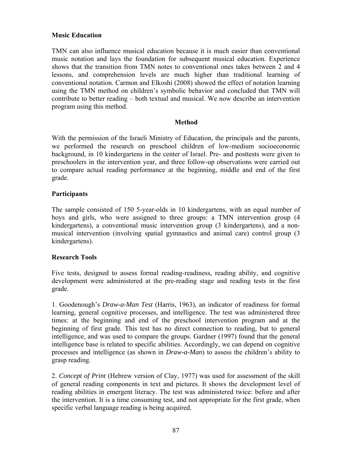### **Music Education**

TMN can also influence musical education because it is much easier than conventional music notation and lays the foundation for subsequent musical education. Experience shows that the transition from TMN notes to conventional ones takes between 2 and 4 lessons, and comprehension levels are much higher than traditional learning of conventional notation. Carmon and Elkoshi (2008) showed the effect of notation learning using the TMN method on children's symbolic behavior and concluded that TMN will contribute to better reading – both textual and musical. We now describe an intervention program using this method.

### **Method**

With the permission of the Israeli Ministry of Education, the principals and the parents, we performed the research on preschool children of low-medium socioeconomic background, in 10 kindergartens in the center of Israel. Pre- and posttests were given to preschoolers in the intervention year, and three follow-up observations were carried out to compare actual reading performance at the beginning, middle and end of the first grade.

# **Participants**

The sample consisted of 150 5-year-olds in 10 kindergartens, with an equal number of boys and girls, who were assigned to three groups: a TMN intervention group (4 kindergartens), a conventional music intervention group (3 kindergartens), and a nonmusical intervention (involving spatial gymnastics and animal care) control group (3 kindergartens).

# **Research Tools**

Five tests, designed to assess formal reading-readiness, reading ability, and cognitive development were administered at the pre-reading stage and reading tests in the first grade.

1. Goodenough's *Draw-a-Man Test* (Harris, 1963), an indicator of readiness for formal learning, general cognitive processes, and intelligence. The test was administered three times: at the beginning and end of the preschool intervention program and at the beginning of first grade. This test has no direct connection to reading, but to general intelligence, and was used to compare the groups. Gardner (1997) found that the general intelligence base is related to specific abilities. Accordingly, we can depend on cognitive processes and intelligence (as shown in *Draw-a-Man*) to assess the children's ability to grasp reading.

2. *Concept of Print* (Hebrew version of Clay, 1977) was used for assessment of the skill of general reading components in text and pictures. It shows the development level of reading abilities in emergent literacy. The test was administered twice: before and after the intervention. It is a time consuming test, and not appropriate for the first grade, when specific verbal language reading is being acquired.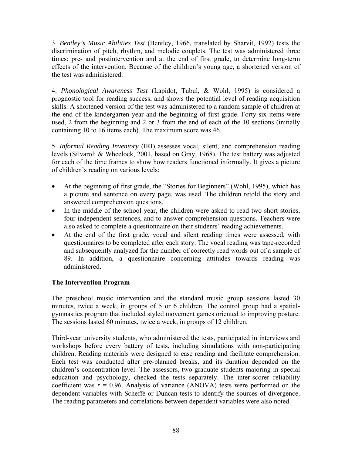3. *Bentley's Music Abilities Test* (Bentley, 1966, translated by Sharvit, 1992) tests the discrimination of pitch, rhythm, and melodic couplets. The test was administered three times: pre- and postintervention and at the end of first grade, to determine long-term effects of the intervention. Because of the children's young age, a shortened version of the test was administered.

4. *Phonological Awareness Test* (Lapidot, Tubul, & Wohl, 1995) is considered a prognostic tool for reading success, and shows the potential level of reading acquisition skills. A shortened version of the test was administered to a random sample of children at the end of the kindergarten year and the beginning of first grade. Forty-six items were used, 2 from the beginning and 2 or 3 from the end of each of the 10 sections (initially containing 10 to 16 items each). The maximum score was 46.

5. *Informal Reading Inventory* (IRI) assesses vocal, silent, and comprehension reading levels (Silvaroli & Wheelock, 2001, based on Gray, 1968). The test battery was adjusted for each of the time frames to show how readers functioned informally. It gives a picture of children's reading on various levels:

- At the beginning of first grade, the "Stories for Beginners" (Wohl, 1995), which has a picture and sentence on every page, was used. The children retold the story and answered comprehension questions.
- In the middle of the school year, the children were asked to read two short stories, four independent sentences, and to answer comprehension questions. Teachers were also asked to complete a questionnaire on their students' reading achievements.
- At the end of the first grade, vocal and silent reading times were assessed, with questionnaires to be completed after each story. The vocal reading was tape-recorded and subsequently analyzed for the number of correctly read words out of a sample of 89. In addition, a questionnaire concerning attitudes towards reading was administered.

# **The Intervention Program**

The preschool music intervention and the standard music group sessions lasted 30 minutes, twice a week, in groups of 5 or 6 children. The control group had a spatialgymnastics program that included styled movement games oriented to improving posture. The sessions lasted 60 minutes, twice a week, in groups of 12 children.

Third-year university students, who administered the tests, participated in interviews and workshops before every battery of tests, including simulations with non-participating children. Reading materials were designed to ease reading and facilitate comprehension. Each test was conducted after pre-planned breaks, and its duration depended on the children's concentration level. The assessors, two graduate students majoring in special education and psychology, checked the tests separately. The inter-scorer reliability coefficient was  $r = 0.96$ . Analysis of variance (ANOVA) tests were performed on the dependent variables with Scheffé or Duncan tests to identify the sources of divergence. The reading parameters and correlations between dependent variables were also noted.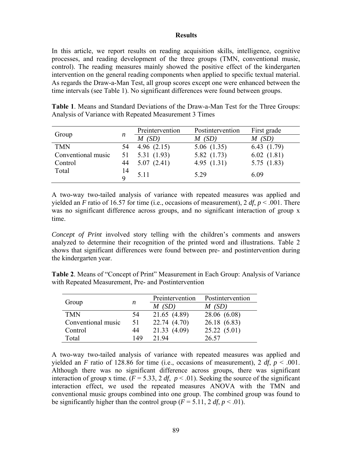#### **Results**

In this article, we report results on reading acquisition skills, intelligence, cognitive processes, and reading development of the three groups (TMN, conventional music, control). The reading measures mainly showed the positive effect of the kindergarten intervention on the general reading components when applied to specific textual material. As regards the Draw-a-Man Test, all group scores except one were enhanced between the time intervals (see Table 1). No significant differences were found between groups.

**Table 1**. Means and Standard Deviations of the Draw-a-Man Test for the Three Groups: Analysis of Variance with Repeated Measurement 3 Times

|                    |    | Preintervention | Postintervention | First grade |
|--------------------|----|-----------------|------------------|-------------|
| Group              | n  | M(SD)           | M(SD)            | M(SD)       |
| <b>TMN</b>         | 54 | 4.96 $(2.15)$   | 5.06(1.35)       | 6.43(1.79)  |
| Conventional music | 51 | 5.31(1.93)      | 5.82(1.73)       | 6.02(1.81)  |
| Control            | 44 | 5.07(2.41)      | 4.95 $(1.31)$    | 5.75(1.83)  |
| Total              | 14 | 5.11            | 5.29             | 6.09        |
|                    |    |                 |                  |             |

A two-way two-tailed analysis of variance with repeated measures was applied and vielded an *F* ratio of 16.57 for time (i.e., occasions of measurement), 2 *df*,  $p < .001$ . There was no significant difference across groups, and no significant interaction of group x time.

*Concept of Print* involved story telling with the children's comments and answers analyzed to determine their recognition of the printed word and illustrations. Table 2 shows that significant differences were found between pre- and postintervention during the kindergarten year.

**Table 2**. Means of "Concept of Print" Measurement in Each Group: Analysis of Variance with Repeated Measurement, Pre- and Postintervention

|                    |     | Preintervention | Postintervention |
|--------------------|-----|-----------------|------------------|
| Group              | n   | M(SD)           | M(SD)            |
| <b>TMN</b>         | 54  | 21.65 (4.89)    | 28.06 (6.08)     |
| Conventional music | 51  | 22.74 (4.70)    | 26.18 (6.83)     |
| Control            | 44  | 21.33 (4.09)    | 25.22(5.01)      |
| Total              | 149 | 2194            | 26.57            |

A two-way two-tailed analysis of variance with repeated measures was applied and yielded an *F* ratio of 128.86 for time (i.e., occasions of measurement), 2 *df*,  $p < .001$ . Although there was no significant difference across groups, there was significant interaction of group x time.  $(F = 5.33, 2 df, p < .01)$ . Seeking the source of the significant interaction effect, we used the repeated measures ANOVA with the TMN and conventional music groups combined into one group. The combined group was found to be significantly higher than the control group  $(F = 5.11, 2 \text{ df}, p < .01)$ .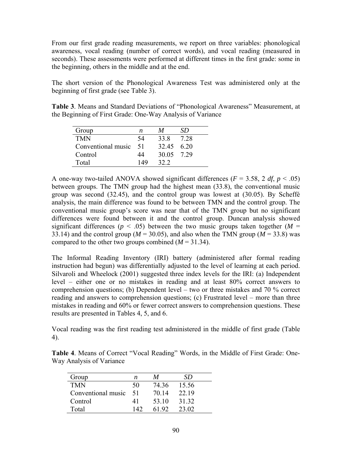From our first grade reading measurements, we report on three variables: phonological awareness, vocal reading (number of correct words), and vocal reading (measured in seconds). These assessments were performed at different times in the first grade: some in the beginning, others in the middle and at the end.

The short version of the Phonological Awareness Test was administered only at the beginning of first grade (see Table 3).

**Table 3**. Means and Standard Deviations of "Phonological Awareness" Measurement, at the Beginning of First Grade: One-Way Analysis of Variance

| Group              | n   | M          | SD  |
|--------------------|-----|------------|-----|
| <b>TMN</b>         | 54  | 33 R       | 728 |
| Conventional music | 51  | 32.45 6.20 |     |
| Control            | 44  | 30.05 7.29 |     |
| Total              | 149 | 32 Z       |     |

A one-way two-tailed ANOVA showed significant differences ( $F = 3.58$ , 2 *df*,  $p < .05$ ) between groups. The TMN group had the highest mean (33.8), the conventional music group was second (32.45), and the control group was lowest at (30.05). By Scheffé analysis, the main difference was found to be between TMN and the control group. The conventional music group's score was near that of the TMN group but no significant differences were found between it and the control group. Duncan analysis showed significant differences ( $p < .05$ ) between the two music groups taken together ( $M =$ 33.14) and the control group ( $M = 30.05$ ), and also when the TMN group ( $M = 33.8$ ) was compared to the other two groups combined  $(M = 31.34)$ .

The Informal Reading Inventory (IRI) battery (administered after formal reading instruction had begun) was differentially adjusted to the level of learning at each period. Silvaroli and Wheelock (2001) suggested three index levels for the IRI: (a) Independent level – either one or no mistakes in reading and at least 80% correct answers to comprehension questions; (b) Dependent level – two or three mistakes and 70 % correct reading and answers to comprehension questions; (c) Frustrated level – more than three mistakes in reading and 60% or fewer correct answers to comprehension questions. These results are presented in Tables 4, 5, and 6.

Vocal reading was the first reading test administered in the middle of first grade (Table 4).

**Table 4**. Means of Correct "Vocal Reading" Words, in the Middle of First Grade: One-Way Analysis of Variance

| Group              | n   | M     | SD    |  |
|--------------------|-----|-------|-------|--|
| <b>TMN</b>         | 50  | 74.36 | 15.56 |  |
| Conventional music | -51 | 70.14 | 22.19 |  |
| Control            | 41  | 53.10 | 31.32 |  |
| Total              | 142 | 61.92 | 23.02 |  |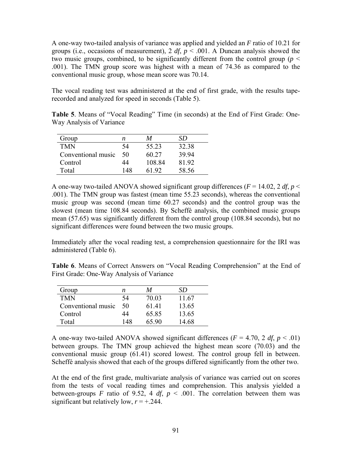A one-way two-tailed analysis of variance was applied and yielded an *F* ratio of 10.21 for groups (i.e., occasions of measurement), 2 df,  $p < .001$ . A Duncan analysis showed the two music groups, combined, to be significantly different from the control group ( $p <$ .001). The TMN group score was highest with a mean of 74.36 as compared to the conventional music group, whose mean score was 70.14.

The vocal reading test was administered at the end of first grade, with the results taperecorded and analyzed for speed in seconds (Table 5).

| <b>Table 5.</b> Means of "Vocal Reading" Time (in seconds) at the End of First Grade: One- |  |  |  |
|--------------------------------------------------------------------------------------------|--|--|--|
| Way Analysis of Variance                                                                   |  |  |  |

| Group              | n   | M      | SD    |
|--------------------|-----|--------|-------|
| <b>TMN</b>         | 54  | 55 23  | 32.38 |
| Conventional music | 50  | 60.27  | 39.94 |
| Control            | 44  | 108.84 | 81.92 |
| Total              | 148 | 61.92  | 58.56 |

A one-way two-tailed ANOVA showed significant group differences ( $F = 14.02$ , 2 *df*,  $p <$ .001). The TMN group was fastest (mean time 55.23 seconds), whereas the conventional music group was second (mean time 60.27 seconds) and the control group was the slowest (mean time 108.84 seconds). By Scheffé analysis, the combined music groups mean (57.65) was significantly different from the control group (108.84 seconds), but no significant differences were found between the two music groups.

Immediately after the vocal reading test, a comprehension questionnaire for the IRI was administered (Table 6).

**Table 6**. Means of Correct Answers on "Vocal Reading Comprehension" at the End of First Grade: One-Way Analysis of Variance

| Group              | n   | M     | SD    |
|--------------------|-----|-------|-------|
| TMN                | 54  | 70.03 | 11.67 |
| Conventional music | 50  | 6141  | 13.65 |
| Control            | 44  | 65.85 | 13.65 |
| Total              | 148 | 65.90 | 14 68 |

A one-way two-tailed ANOVA showed significant differences ( $F = 4.70$ , 2 *df*,  $p < .01$ ) between groups. The TMN group achieved the highest mean score (70.03) and the conventional music group (61.41) scored lowest. The control group fell in between. Scheffé analysis showed that each of the groups differed significantly from the other two.

At the end of the first grade, multivariate analysis of variance was carried out on scores from the tests of vocal reading times and comprehension. This analysis yielded a between-groups *F* ratio of 9.52, 4 *df*,  $p < .001$ . The correlation between them was significant but relatively low,  $r = +0.244$ .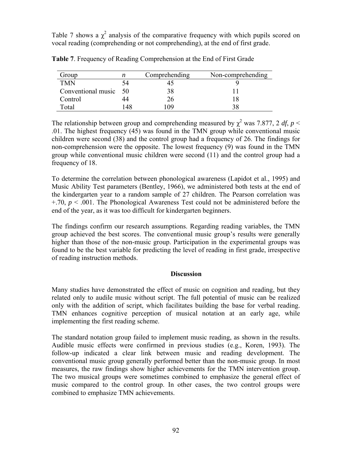Table 7 shows a  $\chi^2$  analysis of the comparative frequency with which pupils scored on vocal reading (comprehending or not comprehending), at the end of first grade.

| Group              |               | Comprehending | Non-comprehending |
|--------------------|---------------|---------------|-------------------|
| <b>TMN</b>         |               |               |                   |
| Conventional music | -50           |               |                   |
| Control            | 44            | 26            |                   |
| Total              | <sup>48</sup> | ΩQ            |                   |

**Table 7**. Frequency of Reading Comprehension at the End of First Grade

The relationship between group and comprehending measured by  $\chi^2$  was 7.877, 2 *df*, *p* < .01. The highest frequency (45) was found in the TMN group while conventional music children were second (38) and the control group had a frequency of 26. The findings for non-comprehension were the opposite. The lowest frequency (9) was found in the TMN group while conventional music children were second (11) and the control group had a frequency of 18.

To determine the correlation between phonological awareness (Lapidot et al., 1995) and Music Ability Test parameters (Bentley, 1966), we administered both tests at the end of the kindergarten year to a random sample of 27 children. The Pearson correlation was +.70, *p* < .001. The Phonological Awareness Test could not be administered before the end of the year, as it was too difficult for kindergarten beginners.

The findings confirm our research assumptions. Regarding reading variables, the TMN group achieved the best scores. The conventional music group's results were generally higher than those of the non-music group. Participation in the experimental groups was found to be the best variable for predicting the level of reading in first grade, irrespective of reading instruction methods.

### **Discussion**

Many studies have demonstrated the effect of music on cognition and reading, but they related only to audile music without script. The full potential of music can be realized only with the addition of script, which facilitates building the base for verbal reading. TMN enhances cognitive perception of musical notation at an early age, while implementing the first reading scheme.

The standard notation group failed to implement music reading, as shown in the results. Audible music effects were confirmed in previous studies (e.g., Koren, 1993). The follow-up indicated a clear link between music and reading development. The conventional music group generally performed better than the non-music group. In most measures, the raw findings show higher achievements for the TMN intervention group. The two musical groups were sometimes combined to emphasize the general effect of music compared to the control group. In other cases, the two control groups were combined to emphasize TMN achievements.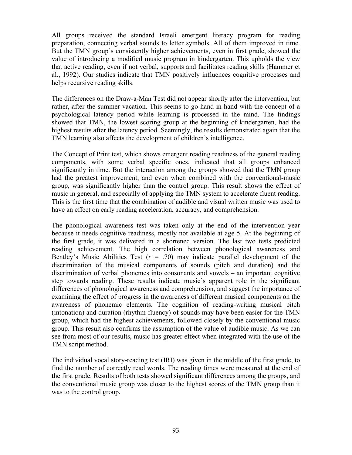All groups received the standard Israeli emergent literacy program for reading preparation, connecting verbal sounds to letter symbols. All of them improved in time. But the TMN group's consistently higher achievements, even in first grade, showed the value of introducing a modified music program in kindergarten. This upholds the view that active reading, even if not verbal, supports and facilitates reading skills (Hammer et al., 1992). Our studies indicate that TMN positively influences cognitive processes and helps recursive reading skills.

The differences on the Draw-a-Man Test did not appear shortly after the intervention, but rather, after the summer vacation. This seems to go hand in hand with the concept of a psychological latency period while learning is processed in the mind. The findings showed that TMN, the lowest scoring group at the beginning of kindergarten, had the highest results after the latency period. Seemingly, the results demonstrated again that the TMN learning also affects the development of children's intelligence.

The Concept of Print test, which shows emergent reading readiness of the general reading components, with some verbal specific ones, indicated that all groups enhanced significantly in time. But the interaction among the groups showed that the TMN group had the greatest improvement, and even when combined with the conventional-music group, was significantly higher than the control group. This result shows the effect of music in general, and especially of applying the TMN system to accelerate fluent reading. This is the first time that the combination of audible and visual written music was used to have an effect on early reading acceleration, accuracy, and comprehension.

The phonological awareness test was taken only at the end of the intervention year because it needs cognitive readiness, mostly not available at age 5. At the beginning of the first grade, it was delivered in a shortened version. The last two tests predicted reading achievement. The high correlation between phonological awareness and Bentley's Music Abilities Test  $(r = .70)$  may indicate parallel development of the discrimination of the musical components of sounds (pitch and duration) and the discrimination of verbal phonemes into consonants and vowels – an important cognitive step towards reading. These results indicate music's apparent role in the significant differences of phonological awareness and comprehension, and suggest the importance of examining the effect of progress in the awareness of different musical components on the awareness of phonemic elements. The cognition of reading-writing musical pitch (intonation) and duration (rhythm-fluency) of sounds may have been easier for the TMN group, which had the highest achievements, followed closely by the conventional music group. This result also confirms the assumption of the value of audible music. As we can see from most of our results, music has greater effect when integrated with the use of the TMN script method.

The individual vocal story-reading test (IRI) was given in the middle of the first grade, to find the number of correctly read words. The reading times were measured at the end of the first grade. Results of both tests showed significant differences among the groups, and the conventional music group was closer to the highest scores of the TMN group than it was to the control group.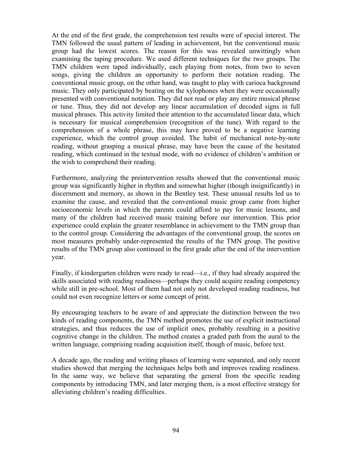At the end of the first grade, the comprehension test results were of special interest. The TMN followed the usual pattern of leading in achievement, but the conventional music group had the lowest scores. The reason for this was revealed unwittingly when examining the taping procedure. We used different techniques for the two groups. The TMN children were taped individually, each playing from notes, from two to seven songs, giving the children an opportunity to perform their notation reading. The conventional music group, on the other hand, was taught to play with carioca background music. They only participated by beating on the xylophones when they were occasionally presented with conventional notation. They did not read or play any entire musical phrase or tune. Thus, they did not develop any linear accumulation of decoded signs in full musical phrases. This activity limited their attention to the accumulated linear data, which is necessary for musical comprehension (recognition of the tune). With regard to the comprehension of a whole phrase, this may have proved to be a negative learning experience, which the control group avoided. The habit of mechanical note-by-note reading, without grasping a musical phrase, may have been the cause of the hesitated reading, which continued in the textual mode, with no evidence of children's ambition or the wish to comprehend their reading.

Furthermore, analyzing the preintervention results showed that the conventional music group was significantly higher in rhythm and somewhat higher (though insignificantly) in discernment and memory, as shown in the Bentley test. These unusual results led us to examine the cause, and revealed that the conventional music group came from higher socioeconomic levels in which the parents could afford to pay for music lessons, and many of the children had received music training before our intervention. This prior experience could explain the greater resemblance in achievement to the TMN group than to the control group. Considering the advantages of the conventional group, the scores on most measures probably under-represented the results of the TMN group. The positive results of the TMN group also continued in the first grade after the end of the intervention year.

Finally, if kindergarten children were ready to read—i.e., if they had already acquired the skills associated with reading readiness—perhaps they could acquire reading competency while still in pre-school. Most of them had not only not developed reading readiness, but could not even recognize letters or some concept of print.

By encouraging teachers to be aware of and appreciate the distinction between the two kinds of reading components, the TMN method promotes the use of explicit instructional strategies, and thus reduces the use of implicit ones, probably resulting in a positive cognitive change in the children. The method creates a graded path from the aural to the written language, comprising reading acquisition itself, though of music, before text.

A decade ago, the reading and writing phases of learning were separated, and only recent studies showed that merging the techniques helps both and improves reading readiness. In the same way, we believe that separating the general from the specific reading components by introducing TMN, and later merging them, is a most effective strategy for alleviating children's reading difficulties.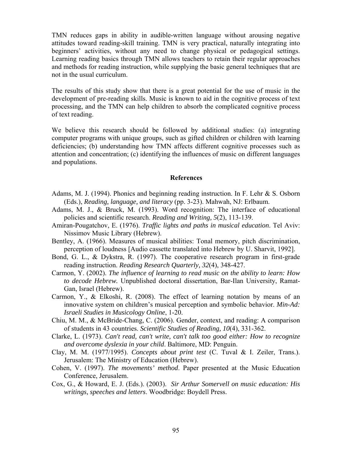TMN reduces gaps in ability in audible-written language without arousing negative attitudes toward reading-skill training. TMN is very practical, naturally integrating into beginners' activities, without any need to change physical or pedagogical settings. Learning reading basics through TMN allows teachers to retain their regular approaches and methods for reading instruction, while supplying the basic general techniques that are not in the usual curriculum.

The results of this study show that there is a great potential for the use of music in the development of pre-reading skills. Music is known to aid in the cognitive process of text processing, and the TMN can help children to absorb the complicated cognitive process of text reading.

We believe this research should be followed by additional studies: (a) integrating computer programs with unique groups, such as gifted children or children with learning deficiencies; (b) understanding how TMN affects different cognitive processes such as attention and concentration; (c) identifying the influences of music on different languages and populations.

#### **References**

- Adams, M. J. (1994). Phonics and beginning reading instruction. In F. Lehr & S. Osborn (Eds.), *Reading, language, and literacy* (pp. 3-23). Mahwah, NJ: Erlbaum.
- Adams, M. J., & Bruck, M. (1993). Word recognition: The interface of educational policies and scientific research. *Reading and Writing, 5*(2), 113-139.
- Amiran-Pougatchov, E. (1976). *Traffic lights and paths in musical education*. Tel Aviv: Nissimov Music Library (Hebrew).
- Bentley, A. (1966). Measures of musical abilities: Tonal memory, pitch discrimination, perception of loudness [Audio cassette translated into Hebrew by U. Sharvit, 1992].
- Bond, G. L., & Dykstra, R. (1997). The cooperative research program in first-grade reading instruction. *Reading Research Quarterly, 32*(4), 348-427.
- Carmon, Y. (2002). *The influence of learning to read music on the ability to learn: How to decode Hebrew.* Unpublished doctoral dissertation, Bar-Ilan University, Ramat-Gan, Israel (Hebrew).
- Carmon, Y., & Elkoshi, R. (2008). The effect of learning notation by means of an innovative system on children's musical perception and symbolic behavior. *Min-Ad: Israeli Studies in Musicology Online*, 1-20.
- Chiu, M. M., & McBride-Chang, C. (2006). Gender, context, and reading: A comparison of students in 43 countries. *Scientific Studies of Reading, 10*(4), 331-362.
- Clarke, L. (1973). *Can't read, can't write, can't talk too good either: How to recognize and overcome dyslexia in your child*. Baltimore, MD: Penguin.
- Clay, M. M. (1977/1995). *Concepts about print test* (C. Tuval & I. Zeiler, Trans.). Jerusalem: The Ministry of Education (Hebrew).
- Cohen, V. (1997). *The movements' method*. Paper presented at the Music Education Conference, Jerusalem.
- Cox, G., & Howard, E. J. (Eds.). (2003). *Sir Arthur Somervell on music education: His writings, speeches and letters*. Woodbridge: Boydell Press.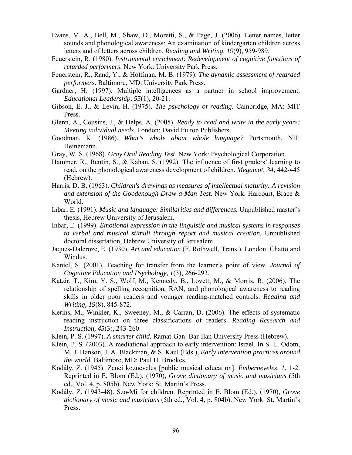- Evans, M. A., Bell, M., Shaw, D., Moretti, S., & Page, J. (2006). Letter names, letter sounds and phonological awareness: An examination of kindergarten children across letters and of letters across children. *Reading and Writing, 19*(9), 959-989.
- Feuerstein, R. (1980). *Instrumental enrichment: Redevelopment of cognitive functions of retarded performers*. New York: University Park Press.
- Feuerstein, R., Rand, Y., & Hoffman, M. B. (1979). *The dynamic assessment of retarded performers*. Baltimore, MD: University Park Press.
- Gardner, H. (1997). Multiple intelligences as a partner in school improvement. *Educational Leadership, 55*(1), 20-21.
- Gibson, E. J., & Levin, H. (1975). *The psychology of reading*. Cambridge, MA: MIT Press.
- Glenn, A., Cousins, J., & Helps, A. (2005). *Ready to read and write in the early years: Meeting individual needs*. London: David Fulton Publishers.
- Goodman, K. (1986). *What's whole about whole language?* Portsmouth, NH: Heinemann.
- Gray, W. S. (1968). *Gray Oral Reading Test*. New York: Psychological Corporation.
- Hammer, R., Bentin, S., & Kahan, S. (1992). The influence of first graders' learning to read, on the phonological awareness development of children. *Megamot, 34*, 442-445 (Hebrew).
- Harris, D. B. (1963). *Children's drawings as measures of intellectual maturity: A revision and extension of the Goodenough Draw-a-Man Test*. New York: Harcourt, Brace & World.
- Inbar, E. (1991). *Music and language: Similarities and differences.* Unpublished master's thesis, Hebrew University of Jerusalem.
- Inbar, E. (1999). *Emotional expression in the linguistic and musical systems in responses to verbal and musical stimuli through report and musical creation.* Unpublished doctoral dissertation, Hebrew University of Jerusalem.
- Jaques-Dalcroze, E. (1930). *Art and education* (F. Rothwell, Trans.). London: Chatto and Windus.
- Kaniel, S. (2001). Teaching for transfer from the learner's point of view. *Journal of Cognitive Education and Psychology, 1*(3), 266-293.
- Katzir, T., Kim, Y. S., Wolf, M., Kennedy, B., Lovett, M., & Morris, R. (2006). The relationship of spelling recognition, RAN, and phonological awareness to reading skills in older poor readers and younger reading-matched controls. *Reading and Writing, 19*(8), 845-872.
- Kerins, M., Winkler, K., Sweeney, M., & Carran, D. (2006). The effects of systematic reading instruction on three classifications of readers. *Reading Research and Instruction, 45*(3), 243-260.
- Klein, P. S. (1997). *A smarter child*. Ramat-Gan: Bar-Ilan University Press (Hebrew).
- Klein, P. S. (2003). A mediational approach to early intervention: Israel. In S. L. Odom, M. J. Hanson, J. A. Blackman, & S. Kaul (Eds.), *Early intervention practices around the world*. Baltimore, MD: Paul H. Brookes.
- Kodály, Z. (1945). Zenei kozneveles [public musical education]. *Emberneveles, 1*, 1-2. Reprinted in E. Blom (Ed.), (1970), *Grove dictionary of music and musicians* (5th ed., Vol. 4, p. 805b). New York: St. Martin's Press.
- Kodály, Z. (1943-48). Szo-Mi for children. Reprinted in E. Blom (Ed.), (1970), *Grove dictionary of music and musicians* (5th ed., Vol. 4, p. 804b). New York: St. Martin's Press.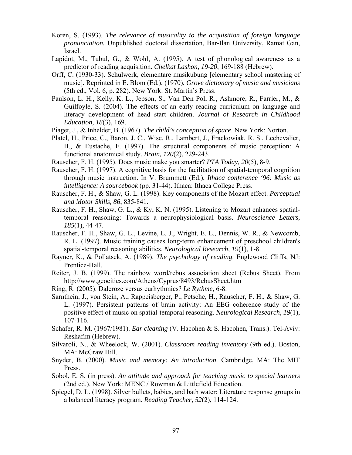- Koren, S. (1993). *The relevance of musicality to the acquisition of foreign language pronunciation.* Unpublished doctoral dissertation, Bar-Ilan University, Ramat Gan, Israel.
- Lapidot, M., Tubul, G., & Wohl, A. (1995). A test of phonological awareness as a predictor of reading acquisition. *Chelkat Lashon, 19-20*, 169-188 (Hebrew).
- Orff, C. (1930-33). Schulwerk, elementare musikubung [elementary school mastering of music]. Reprinted in E. Blom (Ed.), (1970), *Grove dictionary of music and musicians* (5th ed., Vol. 6, p. 282). New York: St. Martin's Press.
- Paulson, L. H., Kelly, K. L., Jepson, S., Van Den Pol, R., Ashmore, R., Farrier, M., & Guilfoyle, S. (2004). The effects of an early reading curriculum on language and literacy development of head start children. *Journal of Research in Childhood Education, 18*(3), 169.
- Piaget, J., & Inhelder, B. (1967). *The child's conception of space*. New York: Norton.
- Platel, H., Price, C., Baron, J. C., Wise, R., Lambert, J., Frackowiak, R. S., Lechevalier, B., & Eustache, F. (1997). The structural components of music perception: A functional anatomical study. *Brain, 120*(2), 229-243.
- Rauscher, F. H. (1995). Does music make you smarter? *PTA Today, 20*(5), 8-9.
- Rauscher, F. H. (1997). A cognitive basis for the facilitation of spatial-temporal cognition through music instruction. In V. Brummett (Ed.), *Ithaca conference '96: Music as intelligence: A sourcebook* (pp. 31-44). Ithaca: Ithaca College Press.
- Rauscher, F. H., & Shaw, G. L. (1998). Key components of the Mozart effect. *Perceptual and Motor Skills, 86*, 835-841.
- Rauscher, F. H., Shaw, G. L., & Ky, K. N. (1995). Listening to Mozart enhances spatialtemporal reasoning: Towards a neurophysiological basis. *Neuroscience Letters, 185*(1), 44-47.
- Rauscher, F. H., Shaw, G. L., Levine, L. J., Wright, E. L., Dennis, W. R., & Newcomb, R. L. (1997). Music training causes long-term enhancement of preschool children's spatial-temporal reasoning abilities. *Neurological Research, 19*(1), 1-8.
- Rayner, K., & Pollatsek, A. (1989). *The psychology of reading*. Englewood Cliffs, NJ: Prentice-Hall.
- Reiter, J. B. (1999). The rainbow word/rebus association sheet (Rebus Sheet). From http://www.geocities.com/Athens/Cyprus/8493/RebusSheet.htm
- Ring, R. (2005). Dalcroze versus eurhythmics? *Le Rythme*, 6-8.
- Sarnthein, J., von Stein, A., Rappeisberger, P., Petsche, H., Rauscher, F. H., & Shaw, G. L. (1997). Persistent patterns of brain activity: An EEG coherence study of the positive effect of music on spatial-temporal reasoning. *Neurological Research, 19*(1), 107-116.
- Schafer, R. M. (1967/1981). *Ear cleaning* (V. Hacohen & S. Hacohen, Trans.). Tel-Aviv: Reshafim (Hebrew).
- Silvaroli, N., & Wheelock, W. (2001). *Classroom reading inventory* (9th ed.). Boston, MA: McGraw Hill.
- Snyder, B. (2000). *Music and memory: An introduction*. Cambridge, MA: The MIT Press.
- Sobol, E. S. (in press). *An attitude and approach for teaching music to special learners* (2nd ed.). New York: MENC / Rowman & Littlefield Education.
- Spiegel, D. L. (1998). Silver bullets, babies, and bath water: Literature response groups in a balanced literacy program. *Reading Teacher, 52*(2), 114-124.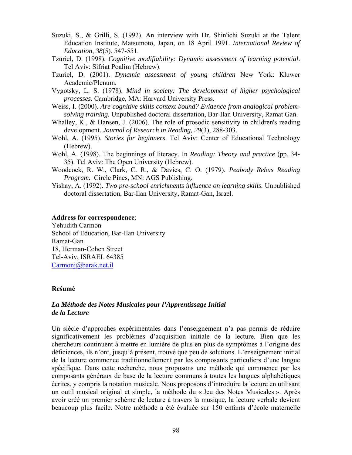- Suzuki, S., & Grilli, S. (1992). An interview with Dr. Shin'ichi Suzuki at the Talent Education Institute, Matsumoto, Japan, on 18 April 1991. *International Review of Education, 38*(5), 547-551.
- Tzuriel, D. (1998). *Cognitive modifiability: Dynamic assessment of learning potential*. Tel Aviv: Sifriat Poalim (Hebrew).
- Tzuriel, D. (2001). *Dynamic assessment of young children* New York: Kluwer Academic/Plenum.
- Vygotsky, L. S. (1978). *Mind in society: The development of higher psychological processes.* Cambridge, MA: Harvard University Press.
- Weiss, I. (2000). *Are cognitive skills context bound? Evidence from analogical problemsolving training.* Unpublished doctoral dissertation, Bar-Ilan University, Ramat Gan.
- Whalley, K., & Hansen, J. (2006). The role of prosodic sensitivity in children's reading development. *Journal of Research in Reading, 29*(3), 288-303.
- Wohl, A. (1995). *Stories for beginners*. Tel Aviv: Center of Educational Technology (Hebrew).
- Wohl, A. (1998). The beginnings of literacy. In *Reading: Theory and practice* (pp. 34- 35). Tel Aviv: The Open University (Hebrew).
- Woodcock, R. W., Clark, C. R., & Davies, C. O. (1979). *Peabody Rebus Reading Program.* Circle Pines, MN: AGS Publishing.
- Yishay, A. (1992). *Two pre-school enrichments influence on learning skills.* Unpublished doctoral dissertation, Bar-Ilan University, Ramat-Gan, Israel.

### **Address for correspondence**:

Yehudith Carmon School of Education, Bar-Ilan University Ramat-Gan 18, Herman-Cohen Street Tel-Aviv, ISRAEL 64385 [Carmonj@barak.net.il](mailto:Carmonj@barak.net.il)

### **Reśumé**

### *La Méthode des Notes Musicales pour l'Apprentissage Initial de la Lecture*

Un siècle d'approches expérimentales dans l'enseignement n'a pas permis de réduire significativement les problèmes d'acquisition initiale de la lecture. Bien que les chercheurs continuent à mettre en lumière de plus en plus de symptômes à l'origine des déficiences, ils n'ont, jusqu'à présent, trouvé que peu de solutions. L'enseignement initial de la lecture commence traditionnellement par les composants particuliers d'une langue spécifique. Dans cette recherche, nous proposons une méthode qui commence par les composants généraux de base de la lecture communs à toutes les langues alphabétiques écrites, y compris la notation musicale. Nous proposons d'introduire la lecture en utilisant un outil musical original et simple, la méthode du « Jeu des Notes Musicales ». Après avoir créé un premier schème de lecture à travers la musique, la lecture verbale devient beaucoup plus facile. Notre méthode a été évaluée sur 150 enfants d'école maternelle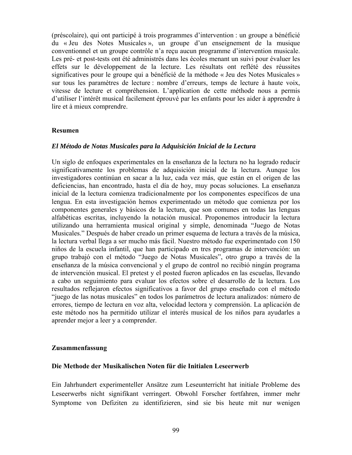(préscolaire), qui ont participé à trois programmes d'intervention : un groupe a bénéficié du « Jeu des Notes Musicales », un groupe d'un enseignement de la musique conventionnel et un groupe contrôle n'a reçu aucun programme d'intervention musicale. Les pré- et post-tests ont été administrés dans les écoles menant un suivi pour évaluer les effets sur le développement de la lecture. Les résultats ont reflété des réussites significatives pour le groupe qui a bénéficié de la méthode « Jeu des Notes Musicales » sur tous les paramètres de lecture : nombre d'erreurs, temps de lecture à haute voix, vitesse de lecture et compréhension. L'application de cette méthode nous a permis d'utiliser l'intérêt musical facilement éprouvé par les enfants pour les aider à apprendre à lire et à mieux comprendre.

### **Resumen**

### *El Método de Notas Musicales para la Adquisición Inicial de la Lectura*

Un siglo de enfoques experimentales en la enseñanza de la lectura no ha logrado reducir significativamente los problemas de adquisición inicial de la lectura. Aunque los investigadores continúan en sacar a la luz, cada vez más, que están en el origen de las deficiencias, han encontrado, hasta el día de hoy, muy pocas soluciones. La enseñanza inicial de la lectura comienza tradicionalmente por los componentes específicos de una lengua. En esta investigación hemos experimentado un método que comienza por los componentes generales y básicos de la lectura, que son comunes en todas las lenguas alfabéticas escritas, incluyendo la notación musical. Proponemos introducir la lectura utilizando una herramienta musical original y simple, denominada "Juego de Notas Musicales." Después de haber creado un primer esquema de lectura a través de la música, la lectura verbal llega a ser mucho más fácil. Nuestro método fue experimentado con 150 niños de la escuela infantil, que han participado en tres programas de intervención: un grupo trabajó con el método "Juego de Notas Musicales", otro grupo a través de la enseñanza de la música convencional y el grupo de control no recibió ningún programa de intervención musical. El pretest y el posted fueron aplicados en las escuelas, llevando a cabo un seguimiento para evaluar los efectos sobre el desarrollo de la lectura. Los resultados reflejaron efectos significativos a favor del grupo enseñado con el método "juego de las notas musicales" en todos los parámetros de lectura analizados: número de errores, tiempo de lectura en voz alta, velocidad lectora y comprensión. La aplicación de este método nos ha permitido utilizar el interés musical de los niños para ayudarles a aprender mejor a leer y a comprender.

### **Zusammenfassung**

### **Die Methode der Musikalischen Noten für die Initialen Leseerwerb**

Ein Jahrhundert experimenteller Ansätze zum Leseunterricht hat initiale Probleme des Leseerwerbs nicht signifikant verringert. Obwohl Forscher fortfahren, immer mehr Symptome von Defiziten zu identifizieren, sind sie bis heute mit nur wenigen